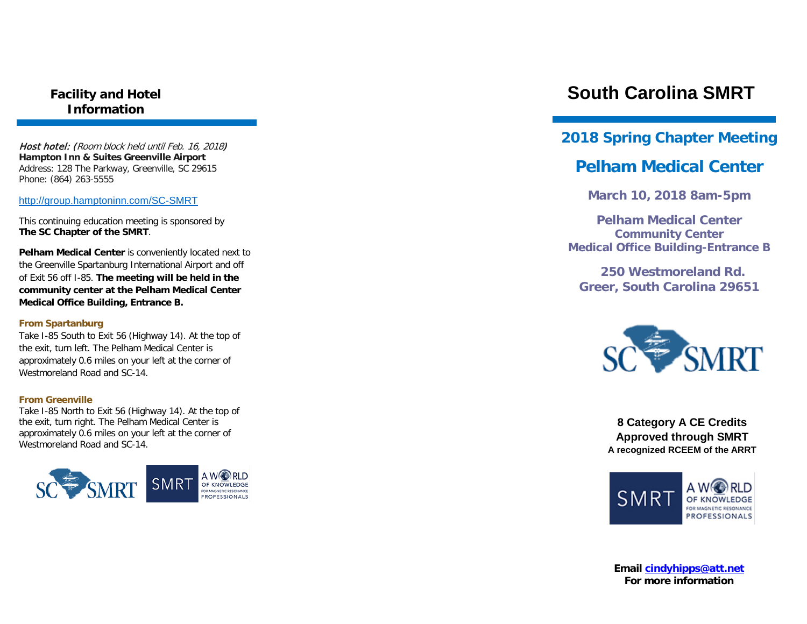## **Facility and Hotel Information**

Host hotel: (Room block held until Feb. 16, 2018) **Hampton Inn & Suites Greenville Airport** Address: 128 The Parkway, Greenville, SC 29615 Phone: (864) 263-5555

<http://group.hamptoninn.com/SC-SMRT>

This continuing education meeting is sponsored by **The SC Chapter of the SMRT**.

**Pelham Medical Center** is conveniently located next to the Greenville Spartanburg International Airport and off of Exit 56 off I-85. **The meeting will be held in the community center at the Pelham Medical Center Medical Office Building, Entrance B.**

#### **From Spartanburg**

Take I-85 South to Exit 56 (Highway 14). At the top of the exit, turn left. The Pelham Medical Center is approximately 0.6 miles on your left at the corner of Westmoreland Road and SC-14.

#### **From Greenville**

Take I-85 North to Exit 56 (Highway 14). At the top of the exit, turn right. The Pelham Medical Center is approximately 0.6 miles on your left at the corner of Westmoreland Road and SC-14.



# **South Carolina SMRT**

## **2018 Spring Chapter Meeting**

## **Pelham Medical Center**

**March 10, 2018 8am-5pm**

**Pelham Medical Center Community Center Medical Office Building-Entrance B**

 **250 Westmoreland Rd. Greer, South Carolina 29651**



**8 Category A CE Credits Approved through SMRT A recognized RCEEM of the ARRT**



**Email [cindyhipps@att.net](mailto:cindyhipps@att.net) For more information**